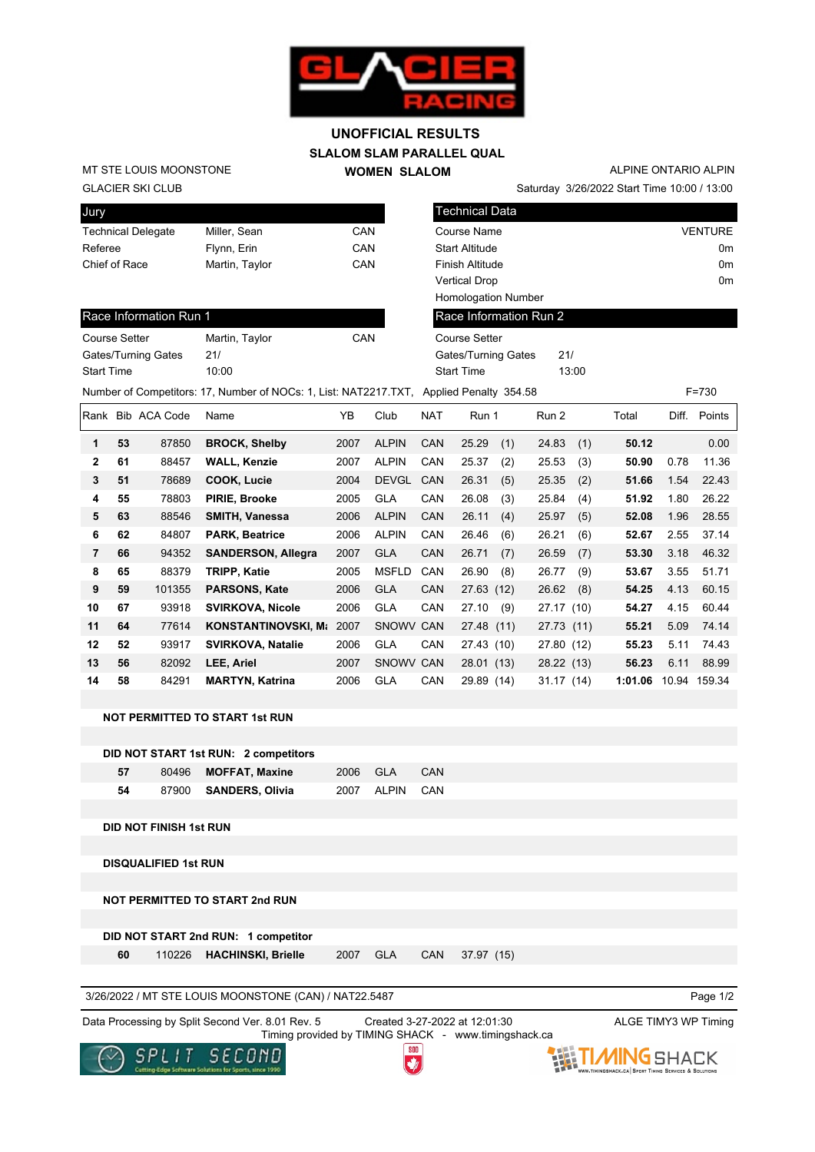

## **SLALOM SLAM PARALLEL QUAL WOMEN SLALOM UNOFFICIAL RESULTS**

GLACIER SKI CLUB MT STE LOUIS MOONSTONE

| Jury                      |                |     |
|---------------------------|----------------|-----|
| <b>Technical Delegate</b> | Miller, Sean   | CAN |
| Referee                   | Flynn, Erin    | CAN |
| Chief of Race             | Martin, Taylor | CAN |
|                           |                |     |

Saturday 3/26/2022 Start Time 10:00 / 13:00 ALPINE ONTARIO ALPIN

| l Technical Data           |                |
|----------------------------|----------------|
| <b>Course Name</b>         | <b>VENTURE</b> |
| <b>Start Altitude</b>      | 0 <sub>m</sub> |
| Finish Altitude            | 0 <sub>m</sub> |
| <b>Vertical Drop</b>       | 0 <sub>m</sub> |
| <b>Homologation Number</b> |                |
| Race Information Run 2     |                |

## Race Information Run 1

| <b>Course Setter</b> | Martin, Taylor | CAN |
|----------------------|----------------|-----|
| Gates/Turning Gates  | 21/            |     |
| <b>Start Time</b>    | 10:00          |     |

| <b>Homologation Number</b> |       |
|----------------------------|-------|
| Race Information Run 2     |       |
| Course Setter              |       |
| <b>Gates/Turning Gates</b> | 21/   |
| <b>Start Time</b>          | 13:00 |

Number of Competitors: 17, Number of NOCs: 1, List: NAT2217.TXT, Applied Penalty 354.58 F=730

| Rank |    | Bib ACA Code | Name                       | YB   | Club         | <b>NAT</b> | Run 1        | Run 2      | Total        | Diff. | Points |
|------|----|--------------|----------------------------|------|--------------|------------|--------------|------------|--------------|-------|--------|
| 1    | 53 | 87850        | <b>BROCK, Shelby</b>       | 2007 | <b>ALPIN</b> | CAN        | 25.29<br>(1) | 24.83      | (1)<br>50.12 |       | 0.00   |
| 2    | 61 | 88457        | <b>WALL, Kenzie</b>        | 2007 | <b>ALPIN</b> | CAN        | 25.37<br>(2) | 25.53      | (3)<br>50.90 | 0.78  | 11.36  |
| 3    | 51 | 78689        | COOK, Lucie                | 2004 | <b>DEVGL</b> | <b>CAN</b> | 26.31<br>(5) | 25.35      | (2)<br>51.66 | 1.54  | 22.43  |
| 4    | 55 | 78803        | PIRIE, Brooke              | 2005 | <b>GLA</b>   | <b>CAN</b> | 26.08<br>(3) | 25.84      | 51.92<br>(4) | 1.80  | 26.22  |
| 5    | 63 | 88546        | <b>SMITH, Vanessa</b>      | 2006 | <b>ALPIN</b> | <b>CAN</b> | 26.11<br>(4) | 25.97      | (5)<br>52.08 | 1.96  | 28.55  |
| 6    | 62 | 84807        | <b>PARK, Beatrice</b>      | 2006 | <b>ALPIN</b> | CAN        | 26.46<br>(6) | 26.21      | (6)<br>52.67 | 2.55  | 37.14  |
| 7    | 66 | 94352        | <b>SANDERSON, Allegra</b>  | 2007 | <b>GLA</b>   | CAN        | 26.71<br>(7) | 26.59      | 53.30<br>(7) | 3.18  | 46.32  |
| 8    | 65 | 88379        | <b>TRIPP, Katie</b>        | 2005 | <b>MSFLD</b> | CAN        | 26.90<br>(8) | 26.77      | (9)<br>53.67 | 3.55  | 51.71  |
| 9    | 59 | 101355       | <b>PARSONS, Kate</b>       | 2006 | <b>GLA</b>   | CAN        | 27.63 (12)   | 26.62      | (8)<br>54.25 | 4.13  | 60.15  |
| 10   | 67 | 93918        | <b>SVIRKOVA, Nicole</b>    | 2006 | <b>GLA</b>   | CAN        | 27.10<br>(9) | 27.17 (10) | 54.27        | 4.15  | 60.44  |
| 11   | 64 | 77614        | <b>KONSTANTINOVSKI, Ma</b> | 2007 | <b>SNOWV</b> | <b>CAN</b> | 27.48 (11)   | 27.73 (11) | 55.21        | 5.09  | 74.14  |
| 12   | 52 | 93917        | <b>SVIRKOVA, Natalie</b>   | 2006 | <b>GLA</b>   | CAN        | 27.43 (10)   | 27.80 (12) | 55.23        | 5.11  | 74.43  |
| 13   | 56 | 82092        | LEE, Ariel                 | 2007 | SNOWV CAN    |            | 28.01 (13)   | 28.22 (13) | 56.23        | 6.11  | 88.99  |
| 14   | 58 | 84291        | <b>MARTYN, Katrina</b>     | 2006 | <b>GLA</b>   | CAN        | 29.89 (14)   | 31.17(14)  | 1:01.06      | 10.94 | 159.34 |
|      |    |              |                            |      |              |            |              |            |              |       |        |

## **NOT PERMITTED TO START 1st RUN**

|     | DID NOT START 1st RUN: 2 competitors |      |           |     |
|-----|--------------------------------------|------|-----------|-----|
| 57. | 80496 MOFFAT. Maxine                 |      | 2006 GLA  | CAN |
| 54  | 87900 SANDERS, Olivia                | 2007 | ALPIN CAN |     |

**DID NOT FINISH 1st RUN**

**DISQUALIFIED 1st RUN**

**NOT PERMITTED TO START 2nd RUN**

**DID NOT START 2nd RUN: 1 competitor**

 **60** 110226 **HACHINSKI, Brielle** 2007 GLA CAN 37.97 (15)

3/26/2022 / MT STE LOUIS MOONSTONE (CAN) / NAT22.5487

Page 1/2

Data Processing by Split Second Ver. 8.01 Rev. 5 Created 3-27-2022 at 12:01:30 ALGE TIMY3 WP Timing Timing provided by TIMING SHACK - www.timingshack.ca